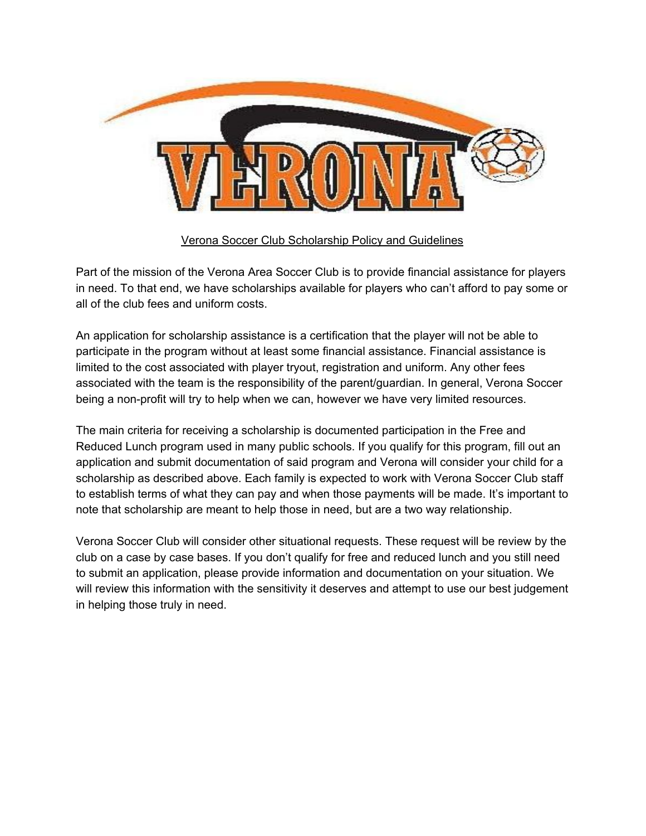

## Verona Soccer Club Scholarship Policy and Guidelines

Part of the mission of the Verona Area Soccer Club is to provide financial assistance for players in need. To that end, we have scholarships available for players who can't afford to pay some or all of the club fees and uniform costs.

An application for scholarship assistance is a certification that the player will not be able to participate in the program without at least some financial assistance. Financial assistance is limited to the cost associated with player tryout, registration and uniform. Any other fees associated with the team is the responsibility of the parent/guardian. In general, Verona Soccer being a non-profit will try to help when we can, however we have very limited resources.

The main criteria for receiving a scholarship is documented participation in the Free and Reduced Lunch program used in many public schools. If you qualify for this program, fill out an application and submit documentation of said program and Verona will consider your child for a scholarship as described above. Each family is expected to work with Verona Soccer Club staff to establish terms of what they can pay and when those payments will be made. It's important to note that scholarship are meant to help those in need, but are a two way relationship.

Verona Soccer Club will consider other situational requests. These request will be review by the club on a case by case bases. If you don't qualify for free and reduced lunch and you still need to submit an application, please provide information and documentation on your situation. We will review this information with the sensitivity it deserves and attempt to use our best judgement in helping those truly in need.